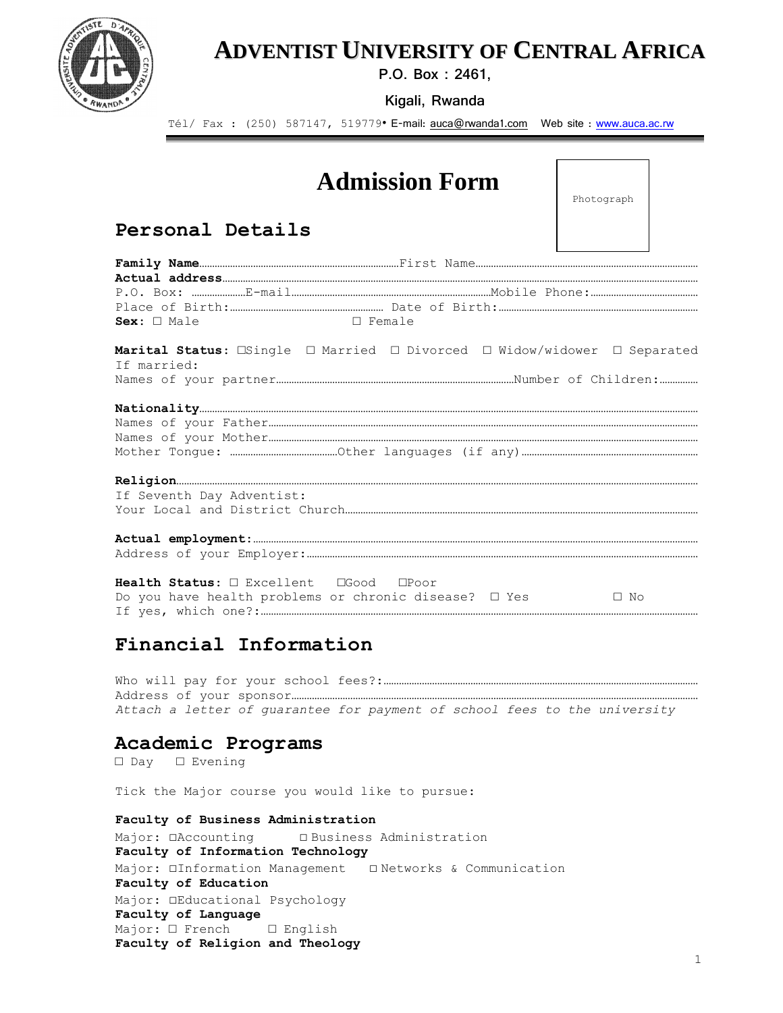

## **ADVENTIST UNIVERSITY OF CENTRAL AFRICA**

**P.O. Box : 2461,**

**Kigali, Rwanda**

Tél/ Fax : (250) 587147, 519779 • E-mail: [auca@rwanda1.com](mailto:auca@rwanda1.com)  Web site : [www.auca.ac.rw](http://www.auca.ac.rw/)

# **Admission Form**

Photograph

## **Personal Details**

| □ Female<br>$Sex: \Box$ Male                                                                                                    |  |
|---------------------------------------------------------------------------------------------------------------------------------|--|
| Marital Status: $\Box$ Single $\Box$ Married $\Box$ Divorced $\Box$ Widow/widower $\Box$ Separated<br>If married:               |  |
|                                                                                                                                 |  |
| If Seventh Day Adventist:                                                                                                       |  |
|                                                                                                                                 |  |
| Health Status: $\Box$ Excellent $\Box$ Good $\Box$ Poor<br>Do you have health problems or chronic disease? $\Box$ Yes $\Box$ No |  |

## **Financial Information**

Who will pay for your school fees?:…………………………………………………………………………………………………………… Address of your sponsor…………………………………………………………………………………………………………………………………………… *Attach a letter of guarantee for payment of school fees to the university*

#### **Academic Programs**

□ Day □ Evening

Tick the Major course you would like to pursue:

**Faculty of Business Administration** Major: □Accounting □ Business Administration **Faculty of Information Technology** Major: □Information Management □ Networks & Communication **Faculty of Education** Major: □Educational Psychology **Faculty of Language** Major: □ French □ English **Faculty of Religion and Theology**